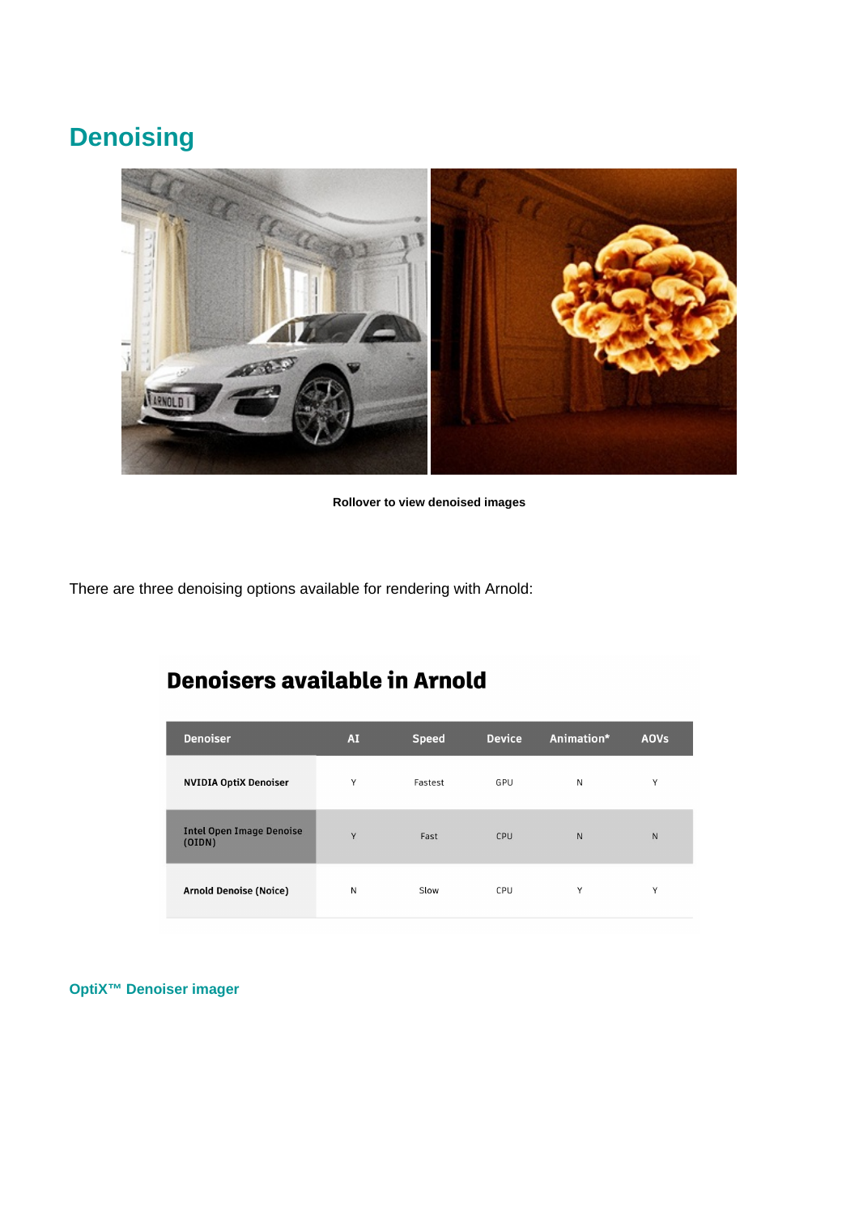# **Denoising**



**Rollover to view denoised images**

There are three denoising options available for rendering with Arnold:

## **Denoisers available in Arnold**

| <b>Denoiser</b>                          | <b>AI</b> | <b>Speed</b> | <b>Device</b> | Animation*   | <b>AOVs</b> |
|------------------------------------------|-----------|--------------|---------------|--------------|-------------|
| <b>NVIDIA OptiX Denoiser</b>             | Y         | Fastest      | GPU           | N            | Y           |
| <b>Intel Open Image Denoise</b><br>(ODN) | Y         | Fast         | CPU           | $\mathsf{N}$ | N           |
| <b>Arnold Denoise (Noice)</b>            | N         | Slow         | CPU           | Υ            | Y           |

## **[OptiX™ Denoiser imager](https://docs.arnoldrenderer.com/display/A5AF3DSUG/Imager+Denoiser+Optix)**